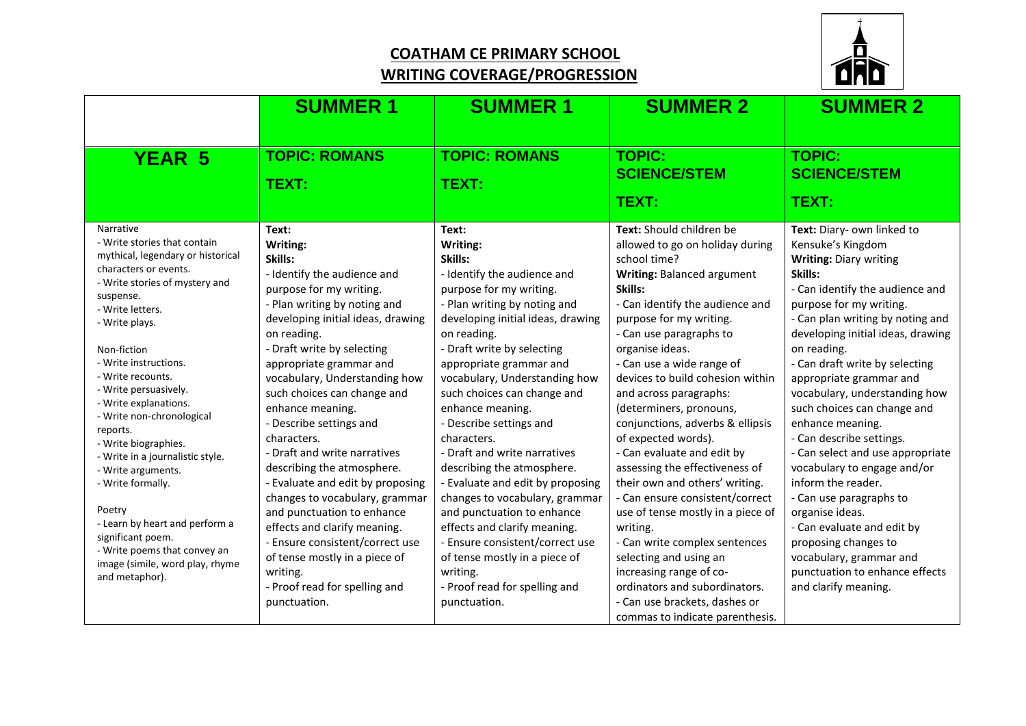## **COATHAM CE PRIMARY SCHOOL WRITING COVERAGE/PROGRESSION**



|                                                | <b>SUMMER 1</b>                                              | <b>SUMMER 1</b>                                              | <b>SUMMER 2</b>                                                      | <b>SUMMER 2</b>                                 |
|------------------------------------------------|--------------------------------------------------------------|--------------------------------------------------------------|----------------------------------------------------------------------|-------------------------------------------------|
|                                                |                                                              |                                                              |                                                                      |                                                 |
| <b>YEAR 5</b>                                  | <b>TOPIC: ROMANS</b>                                         | <b>TOPIC: ROMANS</b>                                         | <b>TOPIC:</b>                                                        | <b>TOPIC:</b>                                   |
|                                                | TEXT:                                                        | TEXT:                                                        | <b>SCIENCE/STEM</b>                                                  | <b>SCIENCE/STEM</b>                             |
|                                                |                                                              |                                                              | TEXT:                                                                | TEXT:                                           |
| Narrative<br>- Write stories that contain      | Text:<br>Writing:                                            | Text:<br>Writing:                                            | Text: Should children be<br>allowed to go on holiday during          | Text: Diary- own linked to<br>Kensuke's Kingdom |
| mythical, legendary or historical              | Skills:                                                      | Skills:                                                      | school time?                                                         | <b>Writing: Diary writing</b>                   |
| characters or events.                          | - Identify the audience and                                  | - Identify the audience and                                  | Writing: Balanced argument                                           | Skills:                                         |
| - Write stories of mystery and                 | purpose for my writing.                                      | purpose for my writing.                                      | Skills:                                                              | - Can identify the audience and                 |
| suspense.<br>- Write letters.                  | - Plan writing by noting and                                 | - Plan writing by noting and                                 | - Can identify the audience and                                      | purpose for my writing.                         |
| - Write plays.                                 | developing initial ideas, drawing                            | developing initial ideas, drawing                            | purpose for my writing.                                              | - Can plan writing by noting and                |
|                                                | on reading.                                                  | on reading.                                                  | - Can use paragraphs to                                              | developing initial ideas, drawing               |
| Non-fiction                                    | - Draft write by selecting                                   | - Draft write by selecting                                   | organise ideas.                                                      | on reading.                                     |
| - Write instructions.                          | appropriate grammar and                                      | appropriate grammar and                                      | - Can use a wide range of                                            | - Can draft write by selecting                  |
| - Write recounts.                              | vocabulary, Understanding how                                | vocabulary, Understanding how                                | devices to build cohesion within                                     | appropriate grammar and                         |
| - Write persuasively.<br>- Write explanations. | such choices can change and                                  | such choices can change and                                  | and across paragraphs:                                               | vocabulary, understanding how                   |
| - Write non-chronological                      | enhance meaning.                                             | enhance meaning.                                             | (determiners, pronouns,                                              | such choices can change and                     |
| reports.                                       | - Describe settings and                                      | - Describe settings and                                      | conjunctions, adverbs & ellipsis                                     | enhance meaning.                                |
| - Write biographies.                           | characters.                                                  | characters.                                                  | of expected words).                                                  | - Can describe settings.                        |
| - Write in a journalistic style.               | - Draft and write narratives                                 | - Draft and write narratives                                 | - Can evaluate and edit by                                           | - Can select and use appropriate                |
| - Write arguments.                             | describing the atmosphere.                                   | describing the atmosphere.                                   | assessing the effectiveness of                                       | vocabulary to engage and/or                     |
| - Write formally.                              | - Evaluate and edit by proposing                             | - Evaluate and edit by proposing                             | their own and others' writing.                                       | inform the reader.                              |
| Poetry                                         | changes to vocabulary, grammar<br>and punctuation to enhance | changes to vocabulary, grammar<br>and punctuation to enhance | - Can ensure consistent/correct<br>use of tense mostly in a piece of | - Can use paragraphs to<br>organise ideas.      |
| - Learn by heart and perform a                 | effects and clarify meaning.                                 | effects and clarify meaning.                                 | writing.                                                             | - Can evaluate and edit by                      |
| significant poem.                              | - Ensure consistent/correct use                              | - Ensure consistent/correct use                              | - Can write complex sentences                                        | proposing changes to                            |
| - Write poems that convey an                   | of tense mostly in a piece of                                | of tense mostly in a piece of                                | selecting and using an                                               | vocabulary, grammar and                         |
| image (simile, word play, rhyme                | writing.                                                     | writing.                                                     | increasing range of co-                                              | punctuation to enhance effects                  |
| and metaphor).                                 | - Proof read for spelling and                                | - Proof read for spelling and                                | ordinators and subordinators.                                        | and clarify meaning.                            |
|                                                | punctuation.                                                 | punctuation.                                                 | - Can use brackets, dashes or                                        |                                                 |
|                                                |                                                              |                                                              | commas to indicate parenthesis.                                      |                                                 |